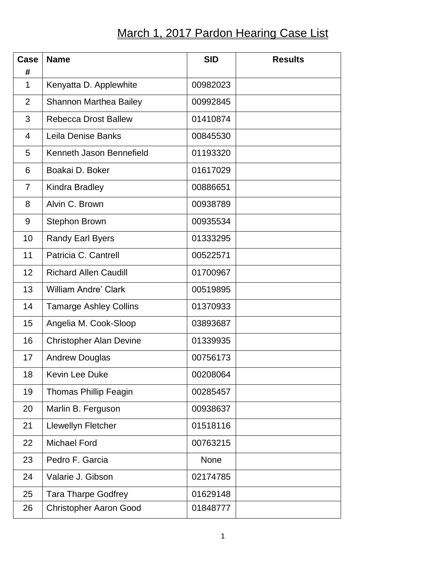## March 1, 2017 Pardon Hearing Case List

| <b>Case</b><br># | <b>Name</b>                    | <b>SID</b> | <b>Results</b> |
|------------------|--------------------------------|------------|----------------|
| 1                | Kenyatta D. Applewhite         | 00982023   |                |
| $\overline{2}$   | <b>Shannon Marthea Bailey</b>  | 00992845   |                |
| 3                | <b>Rebecca Drost Ballew</b>    | 01410874   |                |
| $\overline{4}$   | Leila Denise Banks             | 00845530   |                |
| 5                | Kenneth Jason Bennefield       | 01193320   |                |
| 6                | Boakai D. Boker                | 01617029   |                |
| $\overline{7}$   | Kindra Bradley                 | 00886651   |                |
| 8                | Alvin C. Brown                 | 00938789   |                |
| 9                | <b>Stephon Brown</b>           | 00935534   |                |
| 10               | <b>Randy Earl Byers</b>        | 01333295   |                |
| 11               | Patricia C. Cantrell           | 00522571   |                |
| 12               | <b>Richard Allen Caudill</b>   | 01700967   |                |
| 13               | <b>William Andre' Clark</b>    | 00519895   |                |
| 14               | <b>Tamarge Ashley Collins</b>  | 01370933   |                |
| 15               | Angelia M. Cook-Sloop          | 03893687   |                |
| 16               | <b>Christopher Alan Devine</b> | 01339935   |                |
| 17               | <b>Andrew Douglas</b>          | 00756173   |                |
| 18               | Kevin Lee Duke                 | 00208064   |                |
| 19               | <b>Thomas Phillip Feagin</b>   | 00285457   |                |
| 20               | Marlin B. Ferguson             | 00938637   |                |
| 21               | Llewellyn Fletcher             | 01518116   |                |
| 22               | <b>Michael Ford</b>            | 00763215   |                |
| 23               | Pedro F. Garcia                | None       |                |
| 24               | Valarie J. Gibson              | 02174785   |                |
| 25               | <b>Tara Tharpe Godfrey</b>     | 01629148   |                |
| 26               | <b>Christopher Aaron Good</b>  | 01848777   |                |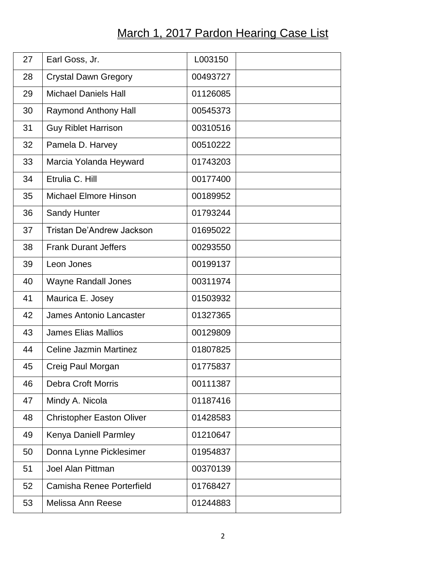## March 1, 2017 Pardon Hearing Case List

| 27 | Earl Goss, Jr.                   | L003150  |  |
|----|----------------------------------|----------|--|
| 28 | <b>Crystal Dawn Gregory</b>      | 00493727 |  |
| 29 | <b>Michael Daniels Hall</b>      | 01126085 |  |
| 30 | <b>Raymond Anthony Hall</b>      | 00545373 |  |
| 31 | <b>Guy Riblet Harrison</b>       | 00310516 |  |
| 32 | Pamela D. Harvey                 | 00510222 |  |
| 33 | Marcia Yolanda Heyward           | 01743203 |  |
| 34 | Etrulia C. Hill                  | 00177400 |  |
| 35 | <b>Michael Elmore Hinson</b>     | 00189952 |  |
| 36 | <b>Sandy Hunter</b>              | 01793244 |  |
| 37 | <b>Tristan De'Andrew Jackson</b> | 01695022 |  |
| 38 | <b>Frank Durant Jeffers</b>      | 00293550 |  |
| 39 | Leon Jones                       | 00199137 |  |
| 40 | <b>Wayne Randall Jones</b>       | 00311974 |  |
| 41 | Maurica E. Josey                 | 01503932 |  |
| 42 | <b>James Antonio Lancaster</b>   | 01327365 |  |
| 43 | <b>James Elias Mallios</b>       | 00129809 |  |
| 44 | <b>Celine Jazmin Martinez</b>    | 01807825 |  |
| 45 | Creig Paul Morgan                | 01775837 |  |
| 46 | <b>Debra Croft Morris</b>        | 00111387 |  |
| 47 | Mindy A. Nicola                  | 01187416 |  |
| 48 | <b>Christopher Easton Oliver</b> | 01428583 |  |
| 49 | Kenya Daniell Parmley            | 01210647 |  |
| 50 | Donna Lynne Picklesimer          | 01954837 |  |
| 51 | <b>Joel Alan Pittman</b>         | 00370139 |  |
| 52 | Camisha Renee Porterfield        | 01768427 |  |
| 53 | Melissa Ann Reese                | 01244883 |  |